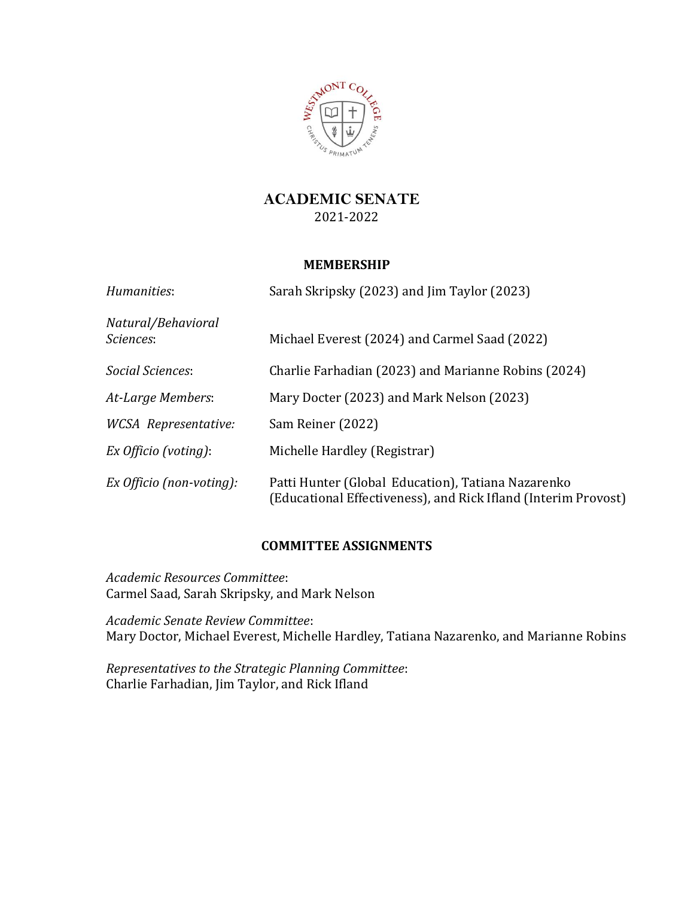

# **ACADEMIC SENATE** 2021-2022

## **MEMBERSHIP**

| Humanities:                     | Sarah Skripsky (2023) and Jim Taylor (2023)                                                                          |
|---------------------------------|----------------------------------------------------------------------------------------------------------------------|
| Natural/Behavioral<br>Sciences: | Michael Everest (2024) and Carmel Saad (2022)                                                                        |
| Social Sciences:                | Charlie Farhadian (2023) and Marianne Robins (2024)                                                                  |
| At-Large Members:               | Mary Docter (2023) and Mark Nelson (2023)                                                                            |
| <b>WCSA</b> Representative:     | Sam Reiner (2022)                                                                                                    |
| Ex Officio (voting):            | Michelle Hardley (Registrar)                                                                                         |
| Ex Officio (non-voting):        | Patti Hunter (Global Education), Tatiana Nazarenko<br>(Educational Effectiveness), and Rick Ifland (Interim Provost) |

## **COMMITTEE ASSIGNMENTS**

*Academic Resources Committee*: Carmel Saad, Sarah Skripsky, and Mark Nelson

*Academic Senate Review Committee*: Mary Doctor, Michael Everest, Michelle Hardley, Tatiana Nazarenko, and Marianne Robins

*Representatives to the Strategic Planning Committee*: Charlie Farhadian, Jim Taylor, and Rick Ifland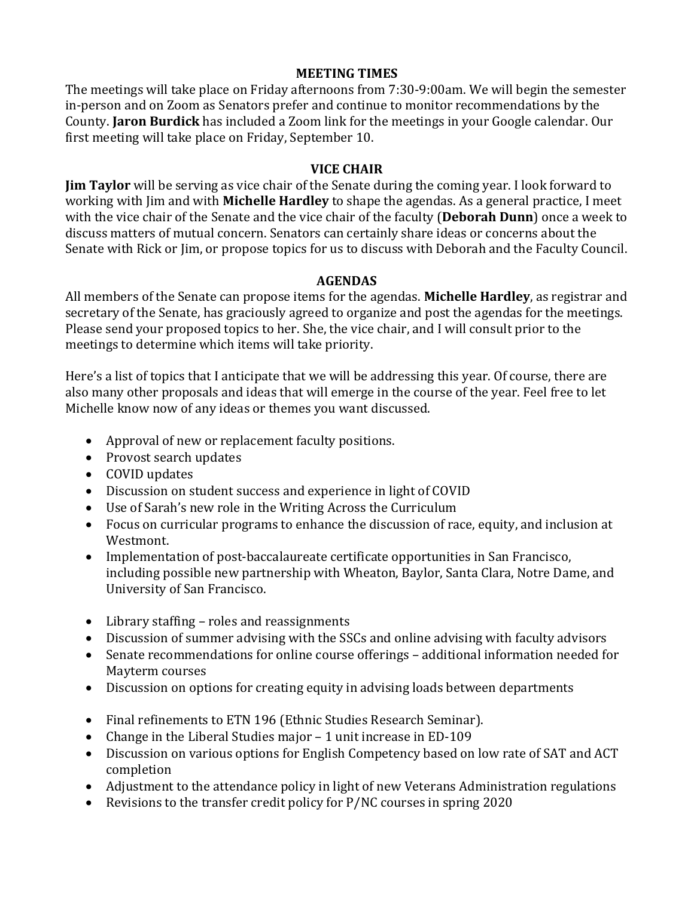### **MEETING TIMES**

The meetings will take place on Friday afternoons from 7:30-9:00am. We will begin the semester in-person and on Zoom as Senators prefer and continue to monitor recommendations by the County. **Jaron Burdick** has included a Zoom link for the meetings in your Google calendar. Our first meeting will take place on Friday, September 10.

### **VICE CHAIR**

**Jim Taylor** will be serving as vice chair of the Senate during the coming year. I look forward to working with Jim and with **Michelle Hardley** to shape the agendas. As a general practice, I meet with the vice chair of the Senate and the vice chair of the faculty (**Deborah Dunn**) once a week to discuss matters of mutual concern. Senators can certainly share ideas or concerns about the Senate with Rick or Jim, or propose topics for us to discuss with Deborah and the Faculty Council.

#### **AGENDAS**

All members of the Senate can propose items for the agendas. **Michelle Hardley**, as registrar and secretary of the Senate, has graciously agreed to organize and post the agendas for the meetings. Please send your proposed topics to her. She, the vice chair, and I will consult prior to the meetings to determine which items will take priority.

Here's a list of topics that I anticipate that we will be addressing this year. Of course, there are also many other proposals and ideas that will emerge in the course of the year. Feel free to let Michelle know now of any ideas or themes you want discussed.

- Approval of new or replacement faculty positions.
- Provost search updates
- COVID updates
- Discussion on student success and experience in light of COVID
- Use of Sarah's new role in the Writing Across the Curriculum
- Focus on curricular programs to enhance the discussion of race, equity, and inclusion at Westmont.
- Implementation of post-baccalaureate certificate opportunities in San Francisco, including possible new partnership with Wheaton, Baylor, Santa Clara, Notre Dame, and University of San Francisco.
- Library staffing roles and reassignments
- Discussion of summer advising with the SSCs and online advising with faculty advisors
- Senate recommendations for online course offerings additional information needed for Mayterm courses
- Discussion on options for creating equity in advising loads between departments
- Final refinements to ETN 196 (Ethnic Studies Research Seminar).
- Change in the Liberal Studies major 1 unit increase in ED-109
- Discussion on various options for English Competency based on low rate of SAT and ACT completion
- Adjustment to the attendance policy in light of new Veterans Administration regulations
- Revisions to the transfer credit policy for P/NC courses in spring 2020